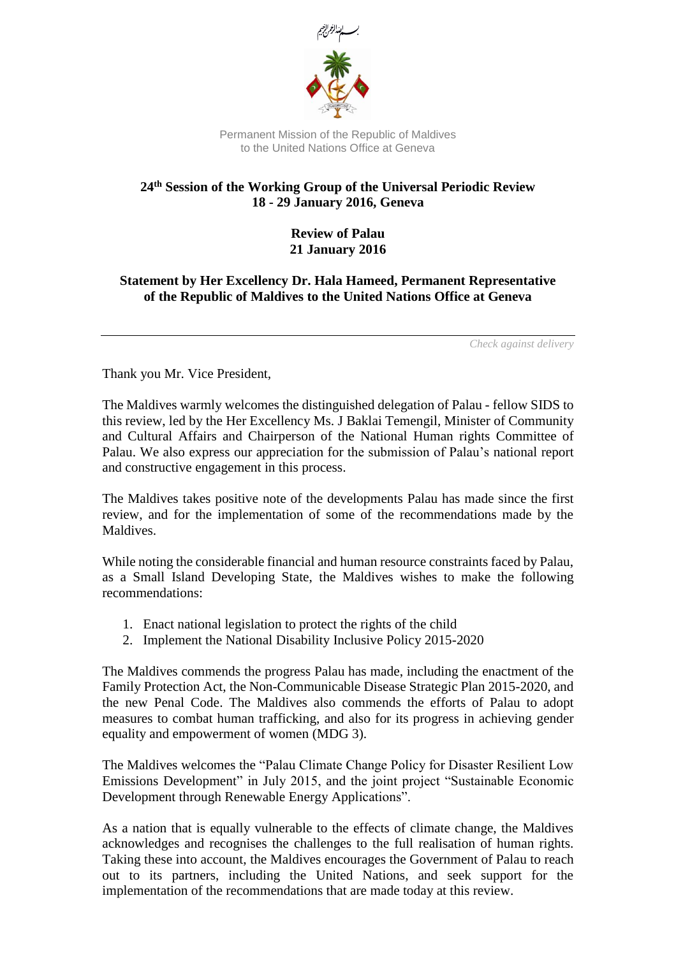

Permanent Mission of the Republic of Maldives to the United Nations Office at Geneva

## **24th Session of the Working Group of the Universal Periodic Review 18 - 29 January 2016, Geneva**

## **Review of Palau 21 January 2016**

## **Statement by Her Excellency Dr. Hala Hameed, Permanent Representative of the Republic of Maldives to the United Nations Office at Geneva**

*Check against delivery*

Thank you Mr. Vice President,

The Maldives warmly welcomes the distinguished delegation of Palau - fellow SIDS to this review, led by the Her Excellency Ms. J Baklai Temengil, Minister of Community and Cultural Affairs and Chairperson of the National Human rights Committee of Palau. We also express our appreciation for the submission of Palau's national report and constructive engagement in this process.

The Maldives takes positive note of the developments Palau has made since the first review, and for the implementation of some of the recommendations made by the Maldives.

While noting the considerable financial and human resource constraints faced by Palau, as a Small Island Developing State, the Maldives wishes to make the following recommendations:

- 1. Enact national legislation to protect the rights of the child
- 2. Implement the National Disability Inclusive Policy 2015-2020

The Maldives commends the progress Palau has made, including the enactment of the Family Protection Act, the Non-Communicable Disease Strategic Plan 2015-2020, and the new Penal Code. The Maldives also commends the efforts of Palau to adopt measures to combat human trafficking, and also for its progress in achieving gender equality and empowerment of women (MDG 3).

The Maldives welcomes the "Palau Climate Change Policy for Disaster Resilient Low Emissions Development" in July 2015, and the joint project "Sustainable Economic Development through Renewable Energy Applications".

As a nation that is equally vulnerable to the effects of climate change, the Maldives acknowledges and recognises the challenges to the full realisation of human rights. Taking these into account, the Maldives encourages the Government of Palau to reach out to its partners, including the United Nations, and seek support for the implementation of the recommendations that are made today at this review.